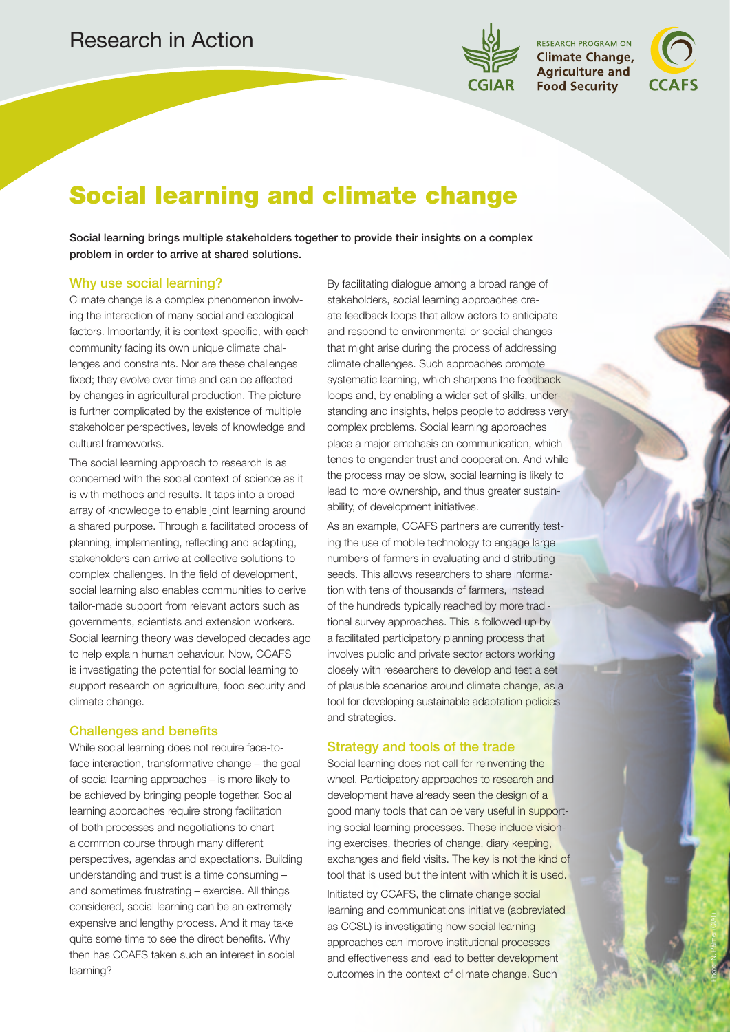

**RESEARCH PROGRAM ON Climate Change, Agriculture and Food Security** 

Photo: N. Palmer (CIAT)

# Social learning and climate change

Social learning brings multiple stakeholders together to provide their insights on a complex problem in order to arrive at shared solutions.

# Why use social learning?

Climate change is a complex phenomenon involving the interaction of many social and ecological factors. Importantly, it is context-specific, with each community facing its own unique climate challenges and constraints. Nor are these challenges fixed; they evolve over time and can be affected by changes in agricultural production. The picture is further complicated by the existence of multiple stakeholder perspectives, levels of knowledge and cultural frameworks.

The social learning approach to research is as concerned with the social context of science as it is with methods and results. It taps into a broad array of knowledge to enable joint learning around a shared purpose. Through a facilitated process of planning, implementing, reflecting and adapting, stakeholders can arrive at collective solutions to complex challenges. In the field of development, social learning also enables communities to derive tailor-made support from relevant actors such as governments, scientists and extension workers. Social learning theory was developed decades ago to help explain human behaviour. Now, CCAFS is investigating the potential for social learning to support research on agriculture, food security and climate change.

# Challenges and benefits

While social learning does not require face-toface interaction, transformative change – the goal of social learning approaches – is more likely to be achieved by bringing people together. Social learning approaches require strong facilitation of both processes and negotiations to chart a common course through many different perspectives, agendas and expectations. Building understanding and trust is a time consuming – and sometimes frustrating – exercise. All things considered, social learning can be an extremely expensive and lengthy process. And it may take quite some time to see the direct benefits. Why then has CCAFS taken such an interest in social learning?

By facilitating dialogue among a broad range of stakeholders, social learning approaches create feedback loops that allow actors to anticipate and respond to environmental or social changes that might arise during the process of addressing climate challenges. Such approaches promote systematic learning, which sharpens the feedback loops and, by enabling a wider set of skills, understanding and insights, helps people to address very complex problems. Social learning approaches place a major emphasis on communication, which tends to engender trust and cooperation. And while the process may be slow, social learning is likely to lead to more ownership, and thus greater sustainability, of development initiatives.

As an example, CCAFS partners are currently testing the use of mobile technology to engage large numbers of farmers in evaluating and distributing seeds. This allows researchers to share information with tens of thousands of farmers, instead of the hundreds typically reached by more traditional survey approaches. This is followed up by a facilitated participatory planning process that involves public and private sector actors working closely with researchers to develop and test a set of plausible scenarios around climate change, as a tool for developing sustainable adaptation policies and strategies.

#### Strategy and tools of the trade

Social learning does not call for reinventing the wheel. Participatory approaches to research and development have already seen the design of a good many tools that can be very useful in supporting social learning processes. These include visioning exercises, theories of change, diary keeping, exchanges and field visits. The key is not the kind of tool that is used but the intent with which it is used.

Initiated by CCAFS, the climate change social learning and communications initiative (abbreviated as CCSL) is investigating how social learning approaches can improve institutional processes and effectiveness and lead to better development outcomes in the context of climate change. Such